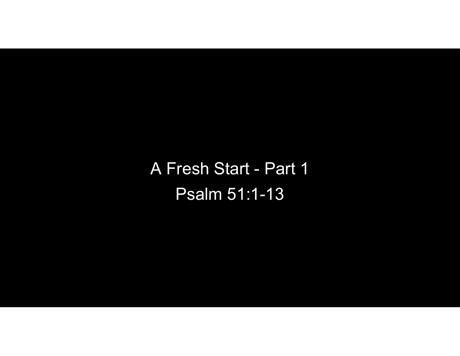A Fresh Start - Part 1 Psalm 51:1-13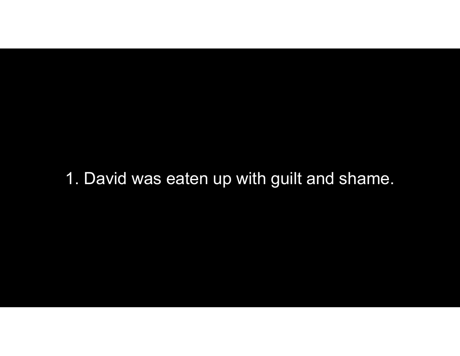## 1. David was eaten up with guilt and shame.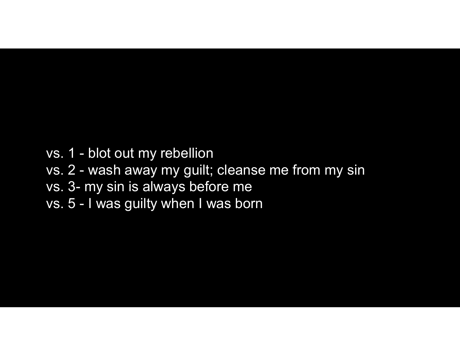- 
- vs. 1 blot out my rebellion<br>vs. 1 blot out my rebellion<br>vs. 2 wash away my guilt; cleanse me froi<br>vs. 3- my sin is always before me vs. 1 - blot out my rebellion<br>vs. 2 - wash away my guilt; cleanse me from my sin<br>vs. 3- my sin is always before me<br>vs. 5 - I was guilty when I was born vs. 1 - blot out my rebellion<br>vs. 2 - wash away my guilt; cleanse me from my s<br>vs. 3- my sin is always before me<br>vs. 5 - I was guilty when I was born vs. 1 - blot out my rebellion<br>vs. 2 - wash away my guilt; cleanse m<br>vs. 3- my sin is always before me<br>vs. 5 - I was guilty when I was born
- 
-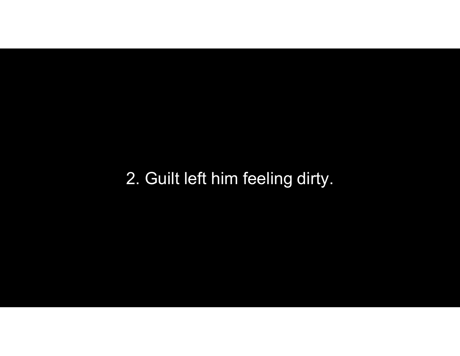## 2. Guilt left him feeling dirty.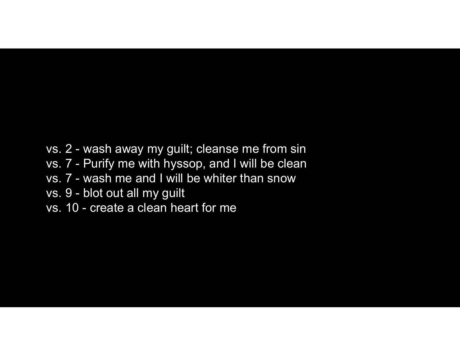- vs. 2 wash away my guilt; cleanse me from sin<br>vs. 7 Purify me with hyssop, and I will be clean<br>vs. 7 wash me and I will be whiter than snow vs. 2 - wash away my guilt; cleanse me from sin<br>vs. 7 - Purify me with hyssop, and I will be clean<br>vs. 7 - wash me and I will be whiter than snow<br>vs. 9 - blot out all my guilt vs. 2 - wash away my guilt; cleanse me from sin<br>vs. 7 - Purify me with hyssop, and I will be clean<br>vs. 7 - wash me and I will be whiter than snow<br>vs. 9 - blot out all my guilt<br>vs. 10 - create a clean heart for me vs. 2 - wash away my guilt; cleanse me fro<br>vs. 7 - Purify me with hyssop, and I will be<br>vs. 7 - wash me and I will be whiter than s<br>vs. 9 - blot out all my guilt<br>vs. 10 - create a clean heart for me vs. 2 - wash away my guilt; cleanse me fror<br>vs. 7 - Purify me with hyssop, and I will be o<br>vs. 7 - wash me and I will be whiter than sn<br>vs. 9 - blot out all my guilt<br>vs. 10 - create a clean heart for me
- 
- 
- 
-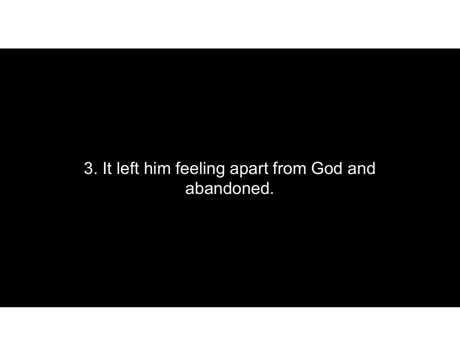## 3. It left him feeling apart from God and abandoned.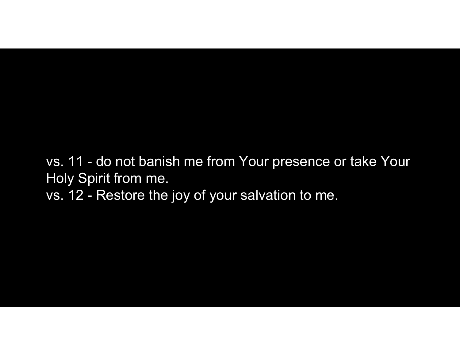vs. 11 - do not banish me from Your presence or take Your<br>Holy Spirit from me.<br>vs. 12 - Restore the joy of your salvation to me. Holy Spirit from me. vs. 11 - do not banish me from Your presence of<br>Holy Spirit from me.<br>vs. 12 - Restore the joy of your salvation to me.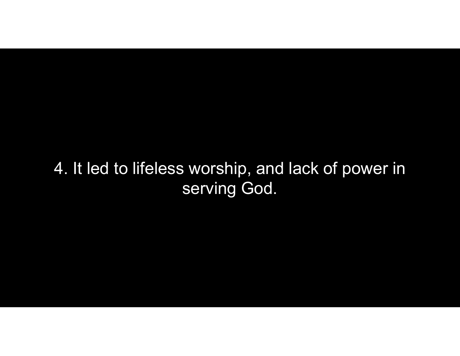## 4. It led to lifeless worship, and lack of power in serving God.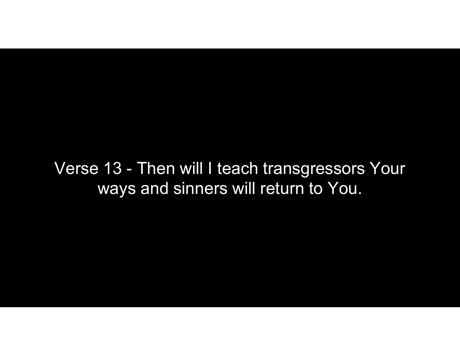Verse 13 - Then will I teach transgressors Your ways and sinners will return to You.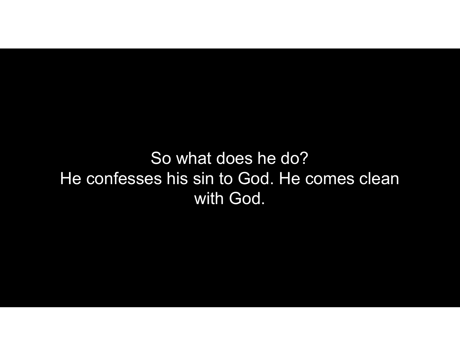So what does he do? He confesses his sin to God. He comes clean with God.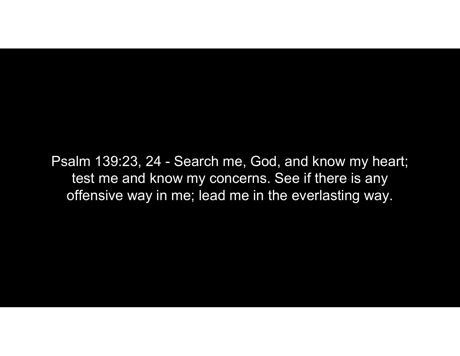Psalm 139:23, 24 - Search me, God, and know my heart;<br>test me and know my concerns. See if there is any<br>offensive way in me; lead me in the everlasting way. test me and know my concerns. See if there is any offensive way in me; lead me in the everlasting way.